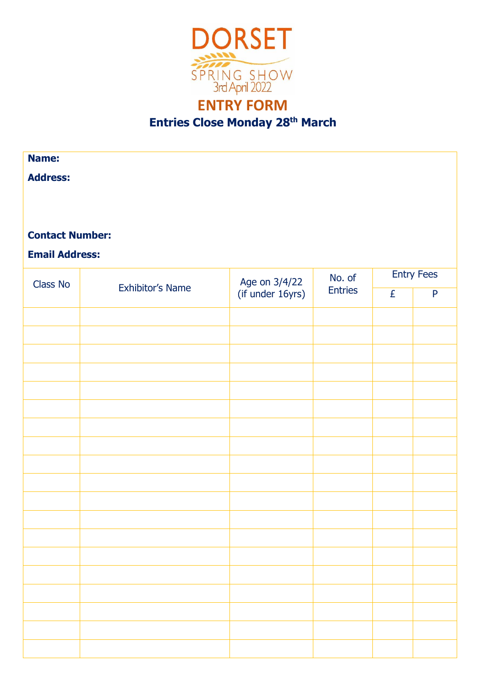

## **ENTRY FORM Entries Close Monday 28th March**

## **Name: Address: Contact Number: Email Address:** Class No Exhibitor's Name Age on  $3/4/22$  $($ if under 16yrs) No. of **Entries** Entry Fees £ P